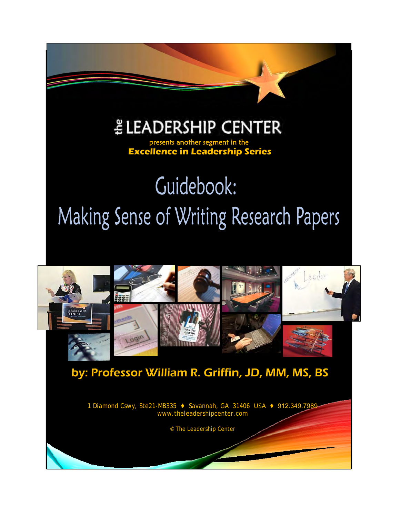# $E$  LEADERSHIP CENTER

İ

 **Excellence in Leadership Series**

# Guidebook: Making Sense of Writing Research Papers



© The Leadership Center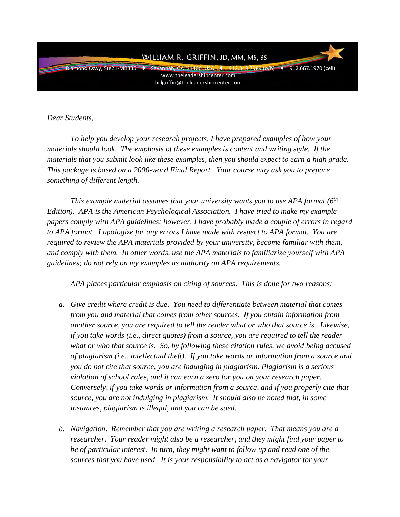

*Dear Students,* 

*To help you develop your research projects, I have prepared examples of how your materials should look. The emphasis of these examples is content and writing style. If the materials that you submit look like these examples, then you should expect to earn a high grade. This package is based on a 2000-word Final Report. Your course may ask you to prepare something of different length.* 

*This example material assumes that your university wants you to use APA format (6th Edition). APA is the American Psychological Association. I have tried to make my example papers comply with APA guidelines; however, I have probably made a couple of errors in regard to APA format. I apologize for any errors I have made with respect to APA format. You are required to review the APA materials provided by your university, become familiar with them, and comply with them. In other words, use the APA materials to familiarize yourself with APA guidelines; do not rely on my examples as authority on APA requirements.*

*APA places particular emphasis on citing of sources. This is done for two reasons:* 

- *a. Give credit where credit is due. You need to differentiate between material that comes from you and material that comes from other sources. If you obtain information from another source, you are required to tell the reader what or who that source is. Likewise, if you take words (i.e., direct quotes) from a source, you are required to tell the reader what or who that source is. So, by following these citation rules, we avoid being accused of plagiarism (i.e., intellectual theft). If you take words or information from a source and you do not cite that source, you are indulging in plagiarism. Plagiarism is a serious violation of school rules, and it can earn a zero for you on your research paper. Conversely, if you take words or information from a source, and if you properly cite that source, you are not indulging in plagiarism. It should also be noted that, in some instances, plagiarism is illegal, and you can be sued.*
- *b. Navigation. Remember that you are writing a research paper. That means you are a researcher. Your reader might also be a researcher, and they might find your paper to be of particular interest. In turn, they might want to follow up and read one of the sources that you have used. It is your responsibility to act as a navigator for your*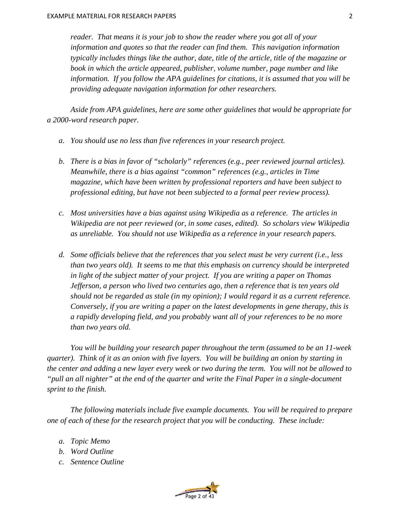*reader. That means it is your job to show the reader where you got all of your information and quotes so that the reader can find them. This navigation information typically includes things like the author, date, title of the article, title of the magazine or book in which the article appeared, publisher, volume number, page number and like information. If you follow the APA guidelines for citations, it is assumed that you will be providing adequate navigation information for other researchers.* 

*Aside from APA guidelines, here are some other guidelines that would be appropriate for a 2000-word research paper.* 

- *a. You should use no less than five references in your research project.*
- *b. There is a bias in favor of "scholarly" references (e.g., peer reviewed journal articles). Meanwhile, there is a bias against "common" references (e.g., articles in Time magazine, which have been written by professional reporters and have been subject to professional editing, but have not been subjected to a formal peer review process).*
- *c. Most universities have a bias against using Wikipedia as a reference. The articles in Wikipedia are not peer reviewed (or, in some cases, edited). So scholars view Wikipedia as unreliable. You should not use Wikipedia as a reference in your research papers.*
- *d. Some officials believe that the references that you select must be very current (i.e., less than two years old). It seems to me that this emphasis on currency should be interpreted in light of the subject matter of your project. If you are writing a paper on Thomas Jefferson, a person who lived two centuries ago, then a reference that is ten years old should not be regarded as stale (in my opinion); I would regard it as a current reference. Conversely, if you are writing a paper on the latest developments in gene therapy, this is a rapidly developing field, and you probably want all of your references to be no more than two years old.*

*You will be building your research paper throughout the term (assumed to be an 11-week quarter). Think of it as an onion with five layers. You will be building an onion by starting in the center and adding a new layer every week or two during the term. You will not be allowed to "pull an all nighter" at the end of the quarter and write the Final Paper in a single-document sprint to the finish.* 

*The following materials include five example documents. You will be required to prepare one of each of these for the research project that you will be conducting. These include:* 

- *a. Topic Memo*
- *b. Word Outline*
- *c. Sentence Outline*

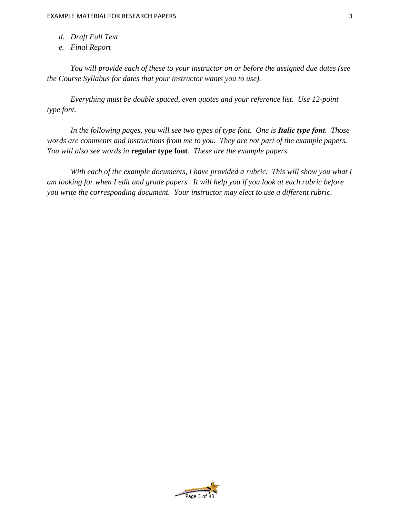- *d. Draft Full Text*
- *e. Final Report*

*You will provide each of these to your instructor on or before the assigned due dates (see the Course Syllabus for dates that your instructor wants you to use).* 

*Everything must be double spaced, even quotes and your reference list. Use 12-point type font.*

*In the following pages, you will see two types of type font. One is Italic type font. Those words are comments and instructions from me to you. They are not part of the example papers. You will also see words in* **regular type font**. *These are the example papers.*

*With each of the example documents, I have provided a rubric. This will show you what I am looking for when I edit and grade papers. It will help you if you look at each rubric before you write the corresponding document. Your instructor may elect to use a different rubric.*

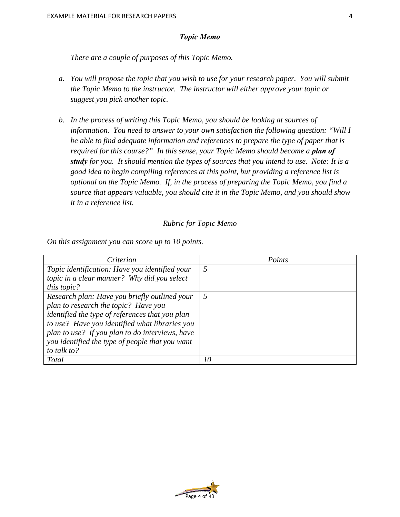## *Topic Memo*

*There are a couple of purposes of this Topic Memo.* 

- *a. You will propose the topic that you wish to use for your research paper. You will submit the Topic Memo to the instructor. The instructor will either approve your topic or suggest you pick another topic.*
- *b. In the process of writing this Topic Memo, you should be looking at sources of information. You need to answer to your own satisfaction the following question: "Will I be able to find adequate information and references to prepare the type of paper that is required for this course?" In this sense, your Topic Memo should become a plan of study for you. It should mention the types of sources that you intend to use. Note: It is a good idea to begin compiling references at this point, but providing a reference list is optional on the Topic Memo. If, in the process of preparing the Topic Memo, you find a source that appears valuable, you should cite it in the Topic Memo, and you should show it in a reference list.*

### *Rubric for Topic Memo*

*On this assignment you can score up to 10 points.* 

| Criterion                                              | Points |
|--------------------------------------------------------|--------|
| Topic identification: Have you identified your         | 5      |
| topic in a clear manner? Why did you select            |        |
| <i>this topic?</i>                                     |        |
| Research plan: Have you briefly outlined your          | 5      |
| plan to research the topic? Have you                   |        |
| <i>identified the type of references that you plan</i> |        |
| to use? Have you identified what libraries you         |        |
| plan to use? If you plan to do interviews, have        |        |
| you identified the type of people that you want        |        |
| to talk to?                                            |        |
| <b>Total</b>                                           | 10     |

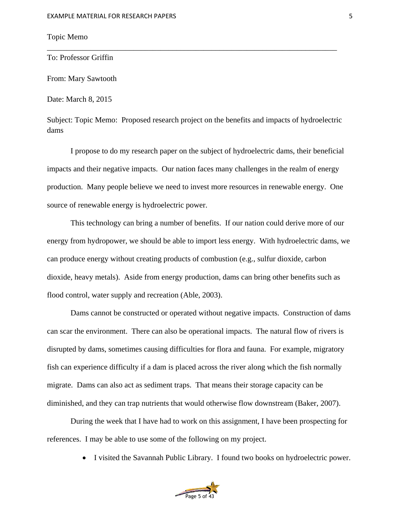# Topic Memo

To: Professor Griffin

From: Mary Sawtooth

Date: March 8, 2015

Subject: Topic Memo: Proposed research project on the benefits and impacts of hydroelectric dams

\_\_\_\_\_\_\_\_\_\_\_\_\_\_\_\_\_\_\_\_\_\_\_\_\_\_\_\_\_\_\_\_\_\_\_\_\_\_\_\_\_\_\_\_\_\_\_\_\_\_\_\_\_\_\_\_\_\_\_\_\_\_\_\_\_\_\_\_\_\_\_\_\_\_

I propose to do my research paper on the subject of hydroelectric dams, their beneficial impacts and their negative impacts. Our nation faces many challenges in the realm of energy production. Many people believe we need to invest more resources in renewable energy. One source of renewable energy is hydroelectric power.

This technology can bring a number of benefits. If our nation could derive more of our energy from hydropower, we should be able to import less energy. With hydroelectric dams, we can produce energy without creating products of combustion (e.g., sulfur dioxide, carbon dioxide, heavy metals). Aside from energy production, dams can bring other benefits such as flood control, water supply and recreation (Able, 2003).

Dams cannot be constructed or operated without negative impacts. Construction of dams can scar the environment. There can also be operational impacts. The natural flow of rivers is disrupted by dams, sometimes causing difficulties for flora and fauna. For example, migratory fish can experience difficulty if a dam is placed across the river along which the fish normally migrate. Dams can also act as sediment traps. That means their storage capacity can be diminished, and they can trap nutrients that would otherwise flow downstream (Baker, 2007).

During the week that I have had to work on this assignment, I have been prospecting for references. I may be able to use some of the following on my project.

• I visited the Savannah Public Library. I found two books on hydroelectric power.

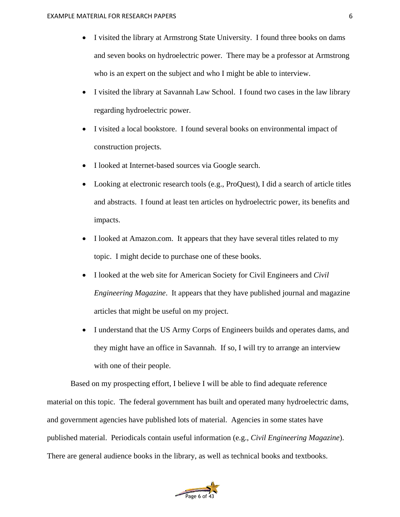- I visited the library at Armstrong State University. I found three books on dams and seven books on hydroelectric power. There may be a professor at Armstrong who is an expert on the subject and who I might be able to interview.
- I visited the library at Savannah Law School. I found two cases in the law library regarding hydroelectric power.
- I visited a local bookstore. I found several books on environmental impact of construction projects.
- I looked at Internet-based sources via Google search.
- Looking at electronic research tools (e.g., ProQuest), I did a search of article titles and abstracts. I found at least ten articles on hydroelectric power, its benefits and impacts.
- I looked at Amazon.com. It appears that they have several titles related to my topic. I might decide to purchase one of these books.
- I looked at the web site for American Society for Civil Engineers and *Civil Engineering Magazine*. It appears that they have published journal and magazine articles that might be useful on my project.
- I understand that the US Army Corps of Engineers builds and operates dams, and they might have an office in Savannah. If so, I will try to arrange an interview with one of their people.

Based on my prospecting effort, I believe I will be able to find adequate reference material on this topic. The federal government has built and operated many hydroelectric dams, and government agencies have published lots of material. Agencies in some states have published material. Periodicals contain useful information (e.g., *Civil Engineering Magazine*). There are general audience books in the library, as well as technical books and textbooks.

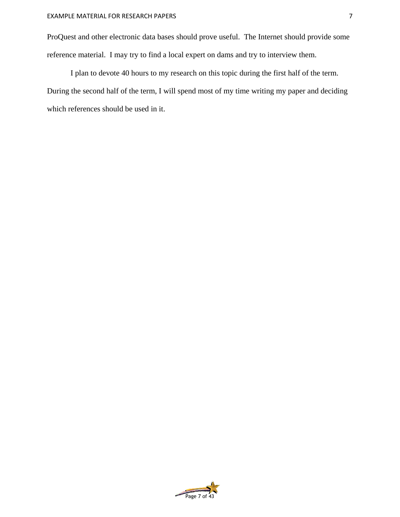ProQuest and other electronic data bases should prove useful. The Internet should provide some reference material. I may try to find a local expert on dams and try to interview them.

I plan to devote 40 hours to my research on this topic during the first half of the term. During the second half of the term, I will spend most of my time writing my paper and deciding which references should be used in it.

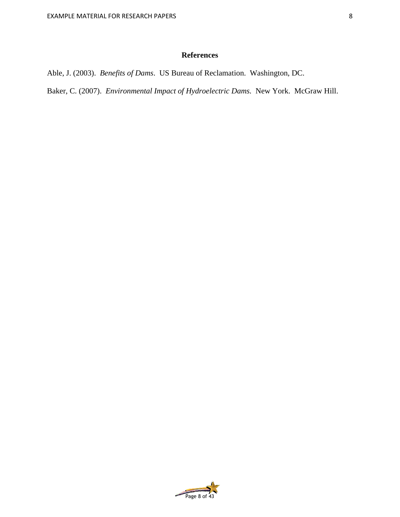# **References**

Able, J. (2003). *Benefits of Dams*. US Bureau of Reclamation. Washington, DC.

Baker, C. (2007). *Environmental Impact of Hydroelectric Dams.* New York. McGraw Hill.

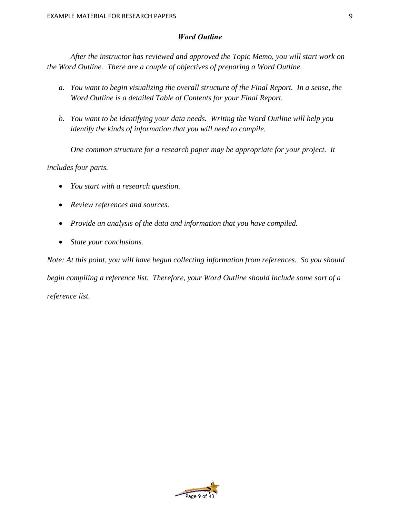# *Word Outline*

*After the instructor has reviewed and approved the Topic Memo, you will start work on the Word Outline. There are a couple of objectives of preparing a Word Outline.* 

- *a. You want to begin visualizing the overall structure of the Final Report. In a sense, the Word Outline is a detailed Table of Contents for your Final Report.*
- *b. You want to be identifying your data needs. Writing the Word Outline will help you identify the kinds of information that you will need to compile.*

*One common structure for a research paper may be appropriate for your project. It* 

*includes four parts.* 

- *You start with a research question.*
- *Review references and sources.*
- *Provide an analysis of the data and information that you have compiled.*
- *State your conclusions.*

*Note: At this point, you will have begun collecting information from references. So you should begin compiling a reference list. Therefore, your Word Outline should include some sort of a reference list.* 

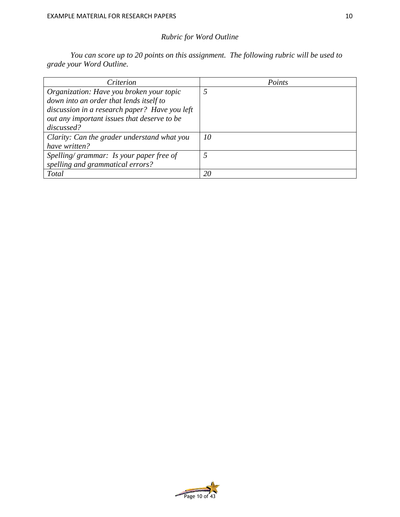# *Rubric for Word Outline*

*You can score up to 20 points on this assignment. The following rubric will be used to grade your Word Outline.* 

| Criterion                                     | Points |
|-----------------------------------------------|--------|
| Organization: Have you broken your topic      |        |
| down into an order that lends itself to       |        |
| discussion in a research paper? Have you left |        |
| out any important issues that deserve to be   |        |
| discussed?                                    |        |
| Clarity: Can the grader understand what you   | 10     |
| have written?                                 |        |
| Spelling/grammar: Is your paper free of       |        |
| spelling and grammatical errors?              |        |
| <b>Total</b>                                  | 20     |

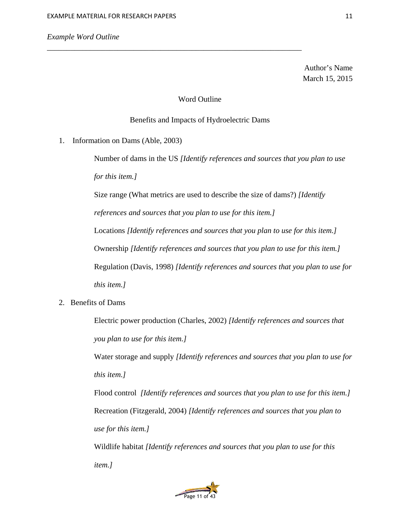Author's Name March 15, 2015

## Word Outline

*\_\_\_\_\_\_\_\_\_\_\_\_\_\_\_\_\_\_\_\_\_\_\_\_\_\_\_\_\_\_\_\_\_\_\_\_*\_\_\_\_\_\_\_\_\_\_\_\_\_\_\_\_\_\_\_\_\_\_\_\_\_\_\_\_\_

## Benefits and Impacts of Hydroelectric Dams

1. Information on Dams (Able, 2003)

Number of dams in the US *[Identify references and sources that you plan to use for this item.]* 

Size range (What metrics are used to describe the size of dams?) *[Identify* 

*references and sources that you plan to use for this item.]*

Locations *[Identify references and sources that you plan to use for this item.]*

Ownership *[Identify references and sources that you plan to use for this item.]*

Regulation (Davis, 1998) *[Identify references and sources that you plan to use for* 

*this item.]*

2. Benefits of Dams

Electric power production (Charles, 2002) *[Identify references and sources that you plan to use for this item.]* 

Water storage and supply *[Identify references and sources that you plan to use for this item.]*

Flood control *[Identify references and sources that you plan to use for this item.]* Recreation (Fitzgerald, 2004) *[Identify references and sources that you plan to use for this item.]*

Wildlife habitat *[Identify references and sources that you plan to use for this item.]*

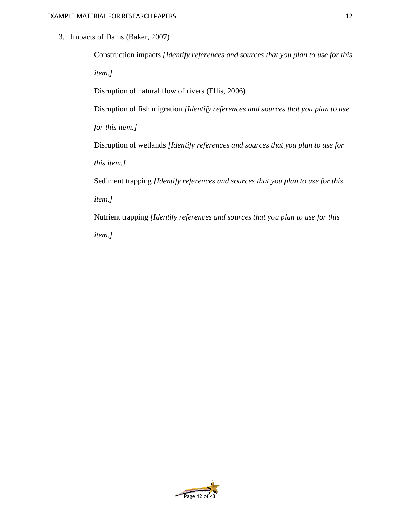3. Impacts of Dams (Baker, 2007)

Construction impacts *[Identify references and sources that you plan to use for this item.]*

Disruption of natural flow of rivers (Ellis, 2006)

Disruption of fish migration *[Identify references and sources that you plan to use* 

*for this item.]*

Disruption of wetlands *[Identify references and sources that you plan to use for* 

*this item.]*

Sediment trapping *[Identify references and sources that you plan to use for this item.]*

Nutrient trapping *[Identify references and sources that you plan to use for this item.]*

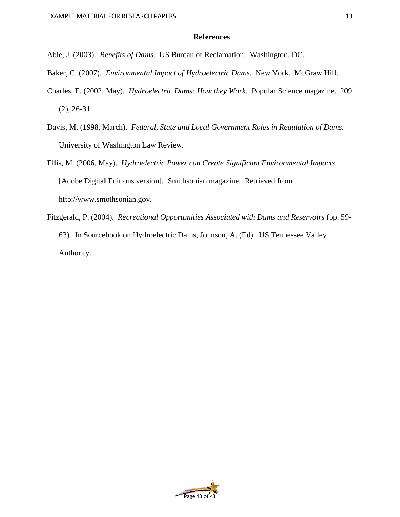# **References**

- Able, J. (2003). *Benefits of Dams*. US Bureau of Reclamation. Washington, DC.
- Baker, C. (2007). *Environmental Impact of Hydroelectric Dams.* New York. McGraw Hill.
- Charles, E. (2002, May). *Hydroelectric Dams: How they Work.* Popular Science magazine. 209 (2), 26-31.
- Davis, M. (1998, March). *Federal, State and Local Government Roles in Regulation of Dams.*  University of Washington Law Review.
- Ellis, M. (2006, May). *Hydroelectric Power can Create Significant Environmental Impacts*  [Adobe Digital Editions version]*.* Smithsonian magazine. Retrieved from http://www.smothsonian.gov.
- Fitzgerald, P. (2004). *Recreational Opportunities Associated with Dams and Reservoirs* (pp. 59- 63). In Sourcebook on Hydroelectric Dams, Johnson, A. (Ed).US Tennessee Valley Authority.

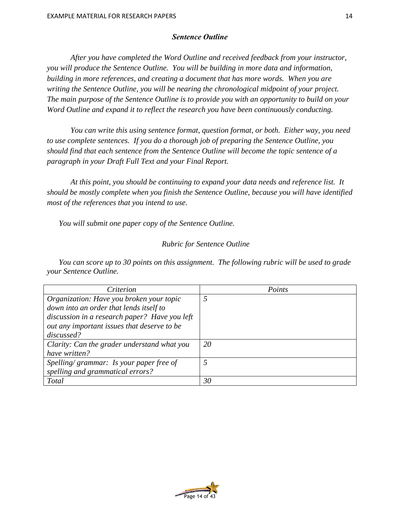## *Sentence Outline*

*After you have completed the Word Outline and received feedback from your instructor, you will produce the Sentence Outline. You will be building in more data and information, building in more references, and creating a document that has more words. When you are writing the Sentence Outline, you will be nearing the chronological midpoint of your project. The main purpose of the Sentence Outline is to provide you with an opportunity to build on your Word Outline and expand it to reflect the research you have been continuously conducting.* 

*You can write this using sentence format, question format, or both. Either way, you need to use complete sentences. If you do a thorough job of preparing the Sentence Outline, you should find that each sentence from the Sentence Outline will become the topic sentence of a paragraph in your Draft Full Text and your Final Report.* 

*At this point, you should be continuing to expand your data needs and reference list. It should be mostly complete when you finish the Sentence Outline, because you will have identified most of the references that you intend to use.* 

*You will submit one paper copy of the Sentence Outline.* 

# *Rubric for Sentence Outline*

*You can score up to 30 points on this assignment. The following rubric will be used to grade your Sentence Outline.*

| Criterion                                     | Points |
|-----------------------------------------------|--------|
| Organization: Have you broken your topic      | 5      |
| down into an order that lends itself to       |        |
| discussion in a research paper? Have you left |        |
| out any important issues that deserve to be   |        |
| discussed?                                    |        |
| Clarity: Can the grader understand what you   | 20     |
| have written?                                 |        |
| Spelling/grammar: Is your paper free of       |        |
| spelling and grammatical errors?              |        |
| <b>Total</b>                                  | 30     |

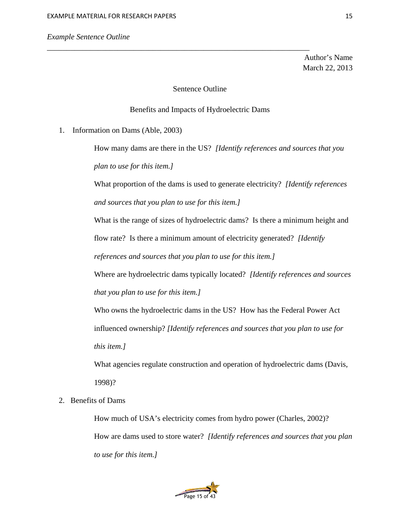## *Example Sentence Outline*

Author's Name March 22, 2013

## Sentence Outline

\_\_\_\_\_\_\_\_\_\_\_\_\_\_\_\_\_\_\_\_\_\_\_\_\_\_\_\_\_\_\_\_\_\_\_\_\_\_\_\_\_\_\_\_\_\_\_\_\_\_\_\_\_\_\_\_\_\_\_\_\_\_\_\_\_\_\_

## Benefits and Impacts of Hydroelectric Dams

1. Information on Dams (Able, 2003)

How many dams are there in the US? *[Identify references and sources that you plan to use for this item.]*

What proportion of the dams is used to generate electricity? *[Identify references and sources that you plan to use for this item.]*

What is the range of sizes of hydroelectric dams? Is there a minimum height and flow rate? Is there a minimum amount of electricity generated? *[Identify references and sources that you plan to use for this item.]*

Where are hydroelectric dams typically located? *[Identify references and sources that you plan to use for this item.]*

Who owns the hydroelectric dams in the US? How has the Federal Power Act

influenced ownership? *[Identify references and sources that you plan to use for* 

*this item.]*

What agencies regulate construction and operation of hydroelectric dams (Davis, 1998)?

# 2. Benefits of Dams

How much of USA's electricity comes from hydro power (Charles, 2002)? How are dams used to store water? *[Identify references and sources that you plan to use for this item.]*

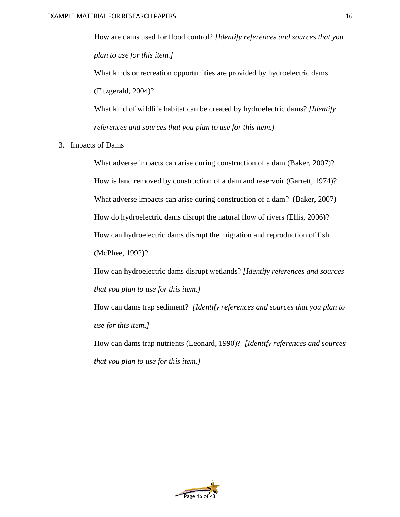How are dams used for flood control? *[Identify references and sources that you plan to use for this item.]*

What kinds or recreation opportunities are provided by hydroelectric dams (Fitzgerald, 2004)?

What kind of wildlife habitat can be created by hydroelectric dams? *[Identify references and sources that you plan to use for this item.]*

3. Impacts of Dams

What adverse impacts can arise during construction of a dam (Baker, 2007)? How is land removed by construction of a dam and reservoir (Garrett, 1974)? What adverse impacts can arise during construction of a dam? (Baker, 2007) How do hydroelectric dams disrupt the natural flow of rivers (Ellis, 2006)? How can hydroelectric dams disrupt the migration and reproduction of fish (McPhee, 1992)?

How can hydroelectric dams disrupt wetlands? *[Identify references and sources that you plan to use for this item.]*

How can dams trap sediment? *[Identify references and sources that you plan to use for this item.]*

How can dams trap nutrients (Leonard, 1990)? *[Identify references and sources that you plan to use for this item.]*

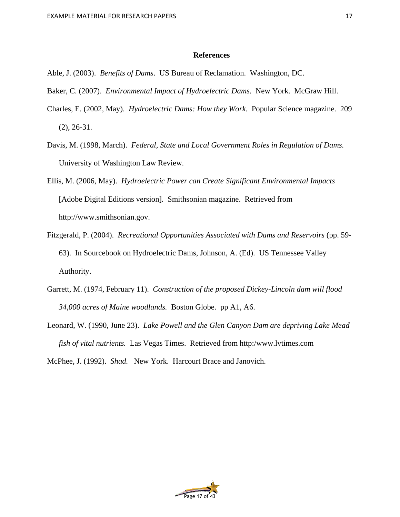## **References**

- Able, J. (2003). *Benefits of Dams*. US Bureau of Reclamation. Washington, DC.
- Baker, C. (2007). *Environmental Impact of Hydroelectric Dams.* New York. McGraw Hill.
- Charles, E. (2002, May). *Hydroelectric Dams: How they Work.* Popular Science magazine. 209 (2), 26-31.
- Davis, M. (1998, March). *Federal, State and Local Government Roles in Regulation of Dams.*  University of Washington Law Review.
- Ellis, M. (2006, May). *Hydroelectric Power can Create Significant Environmental Impacts*  [Adobe Digital Editions version]*.* Smithsonian magazine. Retrieved from http://www.smithsonian.gov.
- Fitzgerald, P. (2004). *Recreational Opportunities Associated with Dams and Reservoirs* (pp. 59- 63). In Sourcebook on Hydroelectric Dams, Johnson, A. (Ed).US Tennessee Valley Authority.
- Garrett, M. (1974, February 11). *Construction of the proposed Dickey-Lincoln dam will flood 34,000 acres of Maine woodlands.* Boston Globe. pp A1, A6.
- Leonard, W. (1990, June 23). *Lake Powell and the Glen Canyon Dam are depriving Lake Mead fish of vital nutrients.* Las Vegas Times. Retrieved from http:/www.lvtimes.com

McPhee, J. (1992). *Shad.* New York. Harcourt Brace and Janovich.

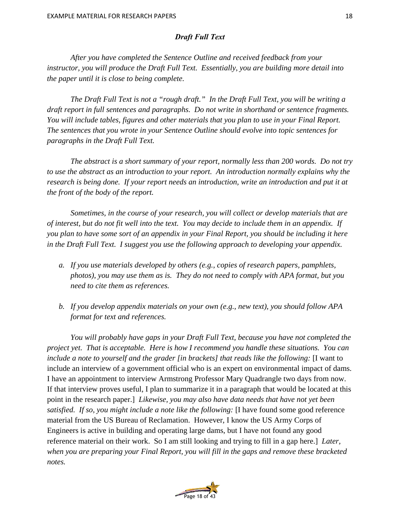# *Draft Full Text*

*After you have completed the Sentence Outline and received feedback from your instructor, you will produce the Draft Full Text. Essentially, you are building more detail into the paper until it is close to being complete.* 

*The Draft Full Text is not a "rough draft." In the Draft Full Text, you will be writing a draft report in full sentences and paragraphs. Do not write in shorthand or sentence fragments. You will include tables, figures and other materials that you plan to use in your Final Report. The sentences that you wrote in your Sentence Outline should evolve into topic sentences for paragraphs in the Draft Full Text.* 

*The abstract is a short summary of your report, normally less than 200 words. Do not try to use the abstract as an introduction to your report. An introduction normally explains why the research is being done. If your report needs an introduction, write an introduction and put it at the front of the body of the report.* 

*Sometimes, in the course of your research, you will collect or develop materials that are of interest, but do not fit well into the text. You may decide to include them in an appendix. If you plan to have some sort of an appendix in your Final Report, you should be including it here in the Draft Full Text. I suggest you use the following approach to developing your appendix.* 

- *a. If you use materials developed by others (e.g., copies of research papers, pamphlets, photos), you may use them as is. They do not need to comply with APA format, but you need to cite them as references.*
- *b. If you develop appendix materials on your own (e.g., new text), you should follow APA format for text and references.*

*You will probably have gaps in your Draft Full Text, because you have not completed the project yet. That is acceptable. Here is how I recommend you handle these situations. You can include a note to yourself and the grader [in brackets] that reads like the following:* [I want to include an interview of a government official who is an expert on environmental impact of dams. I have an appointment to interview Armstrong Professor Mary Quadrangle two days from now. If that interview proves useful, I plan to summarize it in a paragraph that would be located at this point in the research paper.] *Likewise, you may also have data needs that have not yet been satisfied. If so, you might include a note like the following:* [I have found some good reference material from the US Bureau of Reclamation. However, I know the US Army Corps of Engineers is active in building and operating large dams, but I have not found any good reference material on their work. So I am still looking and trying to fill in a gap here.] *Later, when you are preparing your Final Report, you will fill in the gaps and remove these bracketed notes.* 

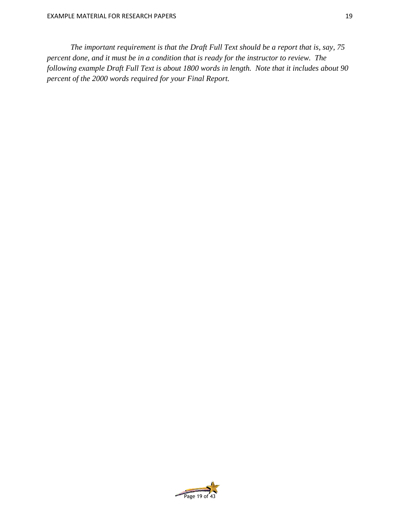*The important requirement is that the Draft Full Text should be a report that is, say, 75 percent done, and it must be in a condition that is ready for the instructor to review. The following example Draft Full Text is about 1800 words in length. Note that it includes about 90 percent of the 2000 words required for your Final Report.*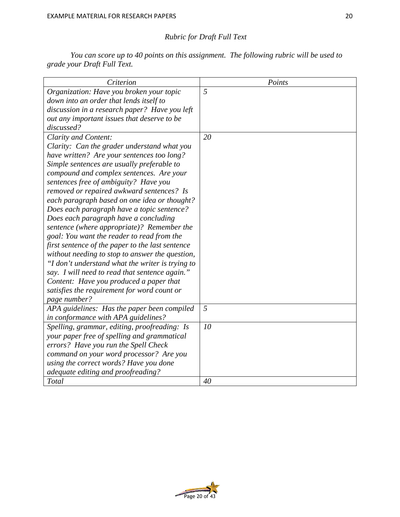# *Rubric for Draft Full Text*

*You can score up to 40 points on this assignment. The following rubric will be used to grade your Draft Full Text.* 

| Criterion                                        | Points |
|--------------------------------------------------|--------|
| Organization: Have you broken your topic         | 5      |
| down into an order that lends itself to          |        |
| discussion in a research paper? Have you left    |        |
| out any important issues that deserve to be      |        |
| discussed?                                       |        |
| Clarity and Content:                             | 20     |
| Clarity: Can the grader understand what you      |        |
| have written? Are your sentences too long?       |        |
| Simple sentences are usually preferable to       |        |
| compound and complex sentences. Are your         |        |
| sentences free of ambiguity? Have you            |        |
| removed or repaired awkward sentences? Is        |        |
| each paragraph based on one idea or thought?     |        |
| Does each paragraph have a topic sentence?       |        |
| Does each paragraph have a concluding            |        |
| sentence (where appropriate)? Remember the       |        |
| goal: You want the reader to read from the       |        |
| first sentence of the paper to the last sentence |        |
| without needing to stop to answer the question,  |        |
| "I don't understand what the writer is trying to |        |
| say. I will need to read that sentence again."   |        |
| Content: Have you produced a paper that          |        |
| satisfies the requirement for word count or      |        |
| page number?                                     |        |
| APA guidelines: Has the paper been compiled      | 5      |
| in conformance with APA guidelines?              |        |
| Spelling, grammar, editing, proofreading: Is     | 10     |
| your paper free of spelling and grammatical      |        |
| errors? Have you run the Spell Check             |        |
| command on your word processor? Are you          |        |
| using the correct words? Have you done           |        |
| adequate editing and proofreading?               |        |
| Total                                            | 40     |

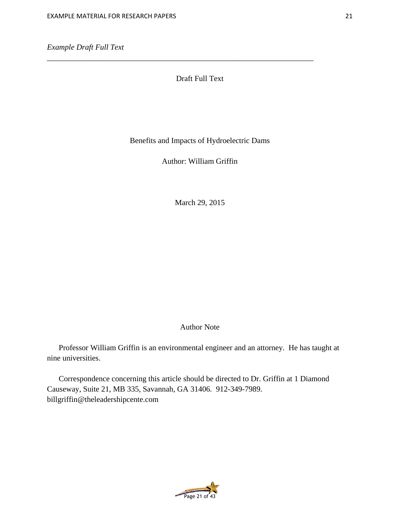# Draft Full Text

\_\_\_\_\_\_\_\_\_\_\_\_\_\_\_\_\_\_\_\_\_\_\_\_\_\_\_\_\_\_\_\_\_\_\_\_\_\_\_\_\_\_\_\_\_\_\_\_\_\_\_\_\_\_\_\_\_\_\_\_\_\_\_\_\_\_\_\_

Benefits and Impacts of Hydroelectric Dams

Author: William Griffin

March 29, 2015

# Author Note

Professor William Griffin is an environmental engineer and an attorney. He has taught at nine universities.

Correspondence concerning this article should be directed to Dr. Griffin at 1 Diamond Causeway, Suite 21, MB 335, Savannah, GA 31406. 912-349-7989. billgriffin@theleadershipcente.com

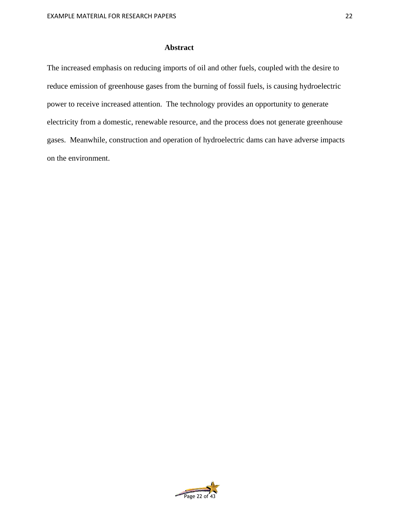## **Abstract**

The increased emphasis on reducing imports of oil and other fuels, coupled with the desire to reduce emission of greenhouse gases from the burning of fossil fuels, is causing hydroelectric power to receive increased attention. The technology provides an opportunity to generate electricity from a domestic, renewable resource, and the process does not generate greenhouse gases. Meanwhile, construction and operation of hydroelectric dams can have adverse impacts on the environment.

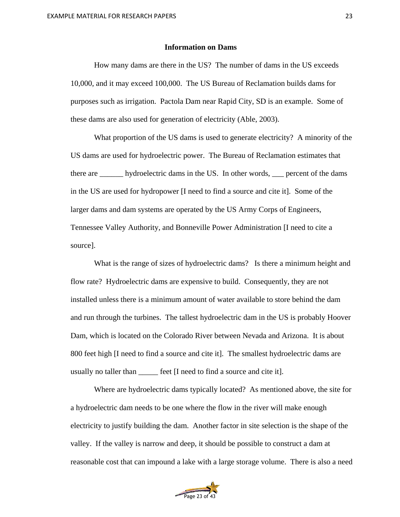## **Information on Dams**

How many dams are there in the US? The number of dams in the US exceeds 10,000, and it may exceed 100,000. The US Bureau of Reclamation builds dams for purposes such as irrigation. Pactola Dam near Rapid City, SD is an example. Some of these dams are also used for generation of electricity (Able, 2003).

What proportion of the US dams is used to generate electricity? A minority of the US dams are used for hydroelectric power. The Bureau of Reclamation estimates that there are \_\_\_\_\_\_ hydroelectric dams in the US. In other words, \_\_\_ percent of the dams in the US are used for hydropower [I need to find a source and cite it]. Some of the larger dams and dam systems are operated by the US Army Corps of Engineers, Tennessee Valley Authority, and Bonneville Power Administration [I need to cite a source].

What is the range of sizes of hydroelectric dams? Is there a minimum height and flow rate? Hydroelectric dams are expensive to build. Consequently, they are not installed unless there is a minimum amount of water available to store behind the dam and run through the turbines. The tallest hydroelectric dam in the US is probably Hoover Dam, which is located on the Colorado River between Nevada and Arizona. It is about 800 feet high [I need to find a source and cite it]. The smallest hydroelectric dams are usually no taller than \_\_\_\_\_ feet [I need to find a source and cite it].

Where are hydroelectric dams typically located? As mentioned above, the site for a hydroelectric dam needs to be one where the flow in the river will make enough electricity to justify building the dam. Another factor in site selection is the shape of the valley. If the valley is narrow and deep, it should be possible to construct a dam at reasonable cost that can impound a lake with a large storage volume. There is also a need

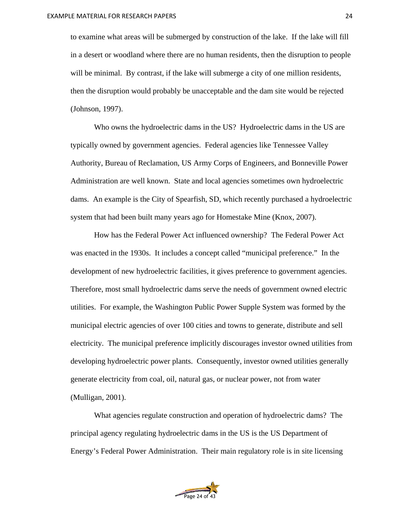to examine what areas will be submerged by construction of the lake. If the lake will fill in a desert or woodland where there are no human residents, then the disruption to people will be minimal. By contrast, if the lake will submerge a city of one million residents, then the disruption would probably be unacceptable and the dam site would be rejected (Johnson, 1997).

Who owns the hydroelectric dams in the US? Hydroelectric dams in the US are typically owned by government agencies. Federal agencies like Tennessee Valley Authority, Bureau of Reclamation, US Army Corps of Engineers, and Bonneville Power Administration are well known. State and local agencies sometimes own hydroelectric dams. An example is the City of Spearfish, SD, which recently purchased a hydroelectric system that had been built many years ago for Homestake Mine (Knox, 2007).

How has the Federal Power Act influenced ownership? The Federal Power Act was enacted in the 1930s. It includes a concept called "municipal preference." In the development of new hydroelectric facilities, it gives preference to government agencies. Therefore, most small hydroelectric dams serve the needs of government owned electric utilities. For example, the Washington Public Power Supple System was formed by the municipal electric agencies of over 100 cities and towns to generate, distribute and sell electricity. The municipal preference implicitly discourages investor owned utilities from developing hydroelectric power plants. Consequently, investor owned utilities generally generate electricity from coal, oil, natural gas, or nuclear power, not from water (Mulligan, 2001).

What agencies regulate construction and operation of hydroelectric dams? The principal agency regulating hydroelectric dams in the US is the US Department of Energy's Federal Power Administration. Their main regulatory role is in site licensing

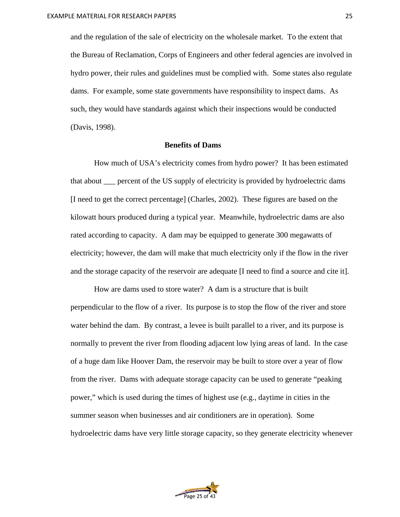and the regulation of the sale of electricity on the wholesale market. To the extent that the Bureau of Reclamation, Corps of Engineers and other federal agencies are involved in hydro power, their rules and guidelines must be complied with. Some states also regulate dams. For example, some state governments have responsibility to inspect dams. As such, they would have standards against which their inspections would be conducted (Davis, 1998).

#### **Benefits of Dams**

How much of USA's electricity comes from hydro power? It has been estimated that about \_\_\_ percent of the US supply of electricity is provided by hydroelectric dams [I need to get the correct percentage] (Charles, 2002). These figures are based on the kilowatt hours produced during a typical year. Meanwhile, hydroelectric dams are also rated according to capacity. A dam may be equipped to generate 300 megawatts of electricity; however, the dam will make that much electricity only if the flow in the river and the storage capacity of the reservoir are adequate [I need to find a source and cite it].

How are dams used to store water? A dam is a structure that is built perpendicular to the flow of a river. Its purpose is to stop the flow of the river and store water behind the dam. By contrast, a levee is built parallel to a river, and its purpose is normally to prevent the river from flooding adjacent low lying areas of land. In the case of a huge dam like Hoover Dam, the reservoir may be built to store over a year of flow from the river. Dams with adequate storage capacity can be used to generate "peaking power," which is used during the times of highest use (e.g., daytime in cities in the summer season when businesses and air conditioners are in operation). Some hydroelectric dams have very little storage capacity, so they generate electricity whenever

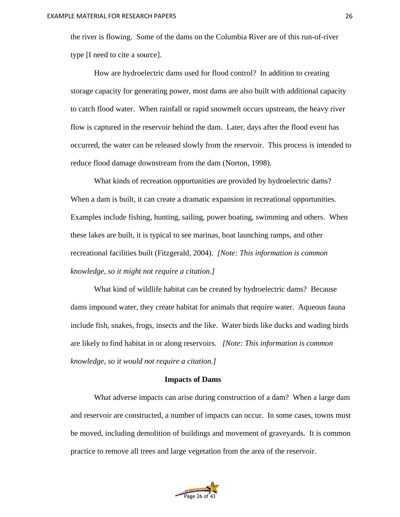the river is flowing. Some of the dams on the Columbia River are of this run-of-river type [I need to cite a source].

How are hydroelectric dams used for flood control? In addition to creating storage capacity for generating power, most dams are also built with additional capacity to catch flood water. When rainfall or rapid snowmelt occurs upstream, the heavy river flow is captured in the reservoir behind the dam. Later, days after the flood event has occurred, the water can be released slowly from the reservoir. This process is intended to reduce flood damage downstream from the dam (Norton, 1998).

What kinds of recreation opportunities are provided by hydroelectric dams? When a dam is built, it can create a dramatic expansion in recreational opportunities. Examples include fishing, hunting, sailing, power boating, swimming and others. When these lakes are built, it is typical to see marinas, boat launching ramps, and other recreational facilities built (Fitzgerald, 2004). *[Note: This information is common knowledge, so it might not require a citation.]*

What kind of wildlife habitat can be created by hydroelectric dams? Because dams impound water, they create habitat for animals that require water. Aqueous fauna include fish, snakes, frogs, insects and the like. Water birds like ducks and wading birds are likely to find habitat in or along reservoirs. *[Note: This information is common knowledge, so it would not require a citation.]*

#### **Impacts of Dams**

What adverse impacts can arise during construction of a dam? When a large dam and reservoir are constructed, a number of impacts can occur. In some cases, towns must be moved, including demolition of buildings and movement of graveyards. It is common practice to remove all trees and large vegetation from the area of the reservoir.

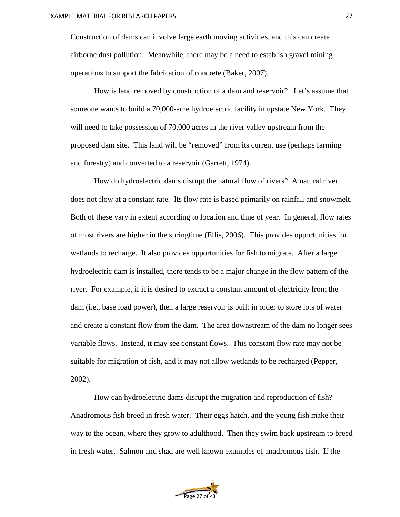Construction of dams can involve large earth moving activities, and this can create airborne dust pollution. Meanwhile, there may be a need to establish gravel mining operations to support the fabrication of concrete (Baker, 2007).

How is land removed by construction of a dam and reservoir? Let's assume that someone wants to build a 70,000-acre hydroelectric facility in upstate New York. They will need to take possession of 70,000 acres in the river valley upstream from the proposed dam site. This land will be "removed" from its current use (perhaps farming and forestry) and converted to a reservoir (Garrett, 1974).

How do hydroelectric dams disrupt the natural flow of rivers? A natural river does not flow at a constant rate. Its flow rate is based primarily on rainfall and snowmelt. Both of these vary in extent according to location and time of year. In general, flow rates of most rivers are higher in the springtime (Ellis, 2006). This provides opportunities for wetlands to recharge. It also provides opportunities for fish to migrate. After a large hydroelectric dam is installed, there tends to be a major change in the flow pattern of the river. For example, if it is desired to extract a constant amount of electricity from the dam (i.e., base load power), then a large reservoir is built in order to store lots of water and create a constant flow from the dam. The area downstream of the dam no longer sees variable flows. Instead, it may see constant flows. This constant flow rate may not be suitable for migration of fish, and it may not allow wetlands to be recharged (Pepper, 2002).

How can hydroelectric dams disrupt the migration and reproduction of fish? Anadromous fish breed in fresh water. Their eggs hatch, and the young fish make their way to the ocean, where they grow to adulthood. Then they swim back upstream to breed in fresh water. Salmon and shad are well known examples of anadromous fish. If the

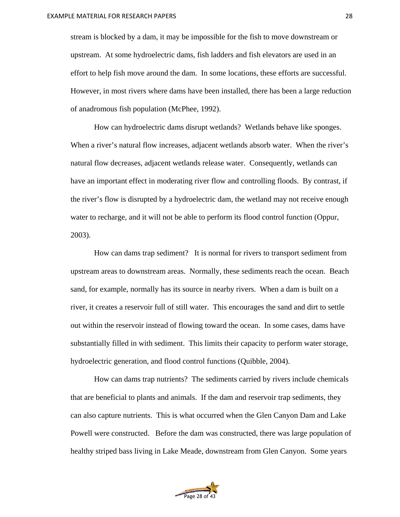stream is blocked by a dam, it may be impossible for the fish to move downstream or upstream. At some hydroelectric dams, fish ladders and fish elevators are used in an effort to help fish move around the dam. In some locations, these efforts are successful. However, in most rivers where dams have been installed, there has been a large reduction of anadromous fish population (McPhee, 1992).

How can hydroelectric dams disrupt wetlands? Wetlands behave like sponges. When a river's natural flow increases, adjacent wetlands absorb water. When the river's natural flow decreases, adjacent wetlands release water. Consequently, wetlands can have an important effect in moderating river flow and controlling floods. By contrast, if the river's flow is disrupted by a hydroelectric dam, the wetland may not receive enough water to recharge, and it will not be able to perform its flood control function (Oppur, 2003).

How can dams trap sediment? It is normal for rivers to transport sediment from upstream areas to downstream areas. Normally, these sediments reach the ocean. Beach sand, for example, normally has its source in nearby rivers. When a dam is built on a river, it creates a reservoir full of still water. This encourages the sand and dirt to settle out within the reservoir instead of flowing toward the ocean. In some cases, dams have substantially filled in with sediment. This limits their capacity to perform water storage, hydroelectric generation, and flood control functions (Quibble, 2004).

How can dams trap nutrients? The sediments carried by rivers include chemicals that are beneficial to plants and animals. If the dam and reservoir trap sediments, they can also capture nutrients. This is what occurred when the Glen Canyon Dam and Lake Powell were constructed. Before the dam was constructed, there was large population of healthy striped bass living in Lake Meade, downstream from Glen Canyon. Some years

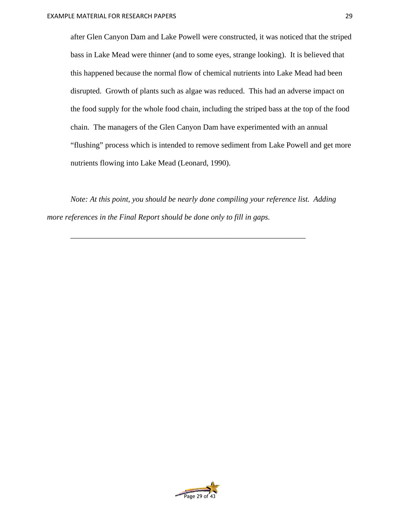after Glen Canyon Dam and Lake Powell were constructed, it was noticed that the striped bass in Lake Mead were thinner (and to some eyes, strange looking). It is believed that this happened because the normal flow of chemical nutrients into Lake Mead had been disrupted. Growth of plants such as algae was reduced. This had an adverse impact on the food supply for the whole food chain, including the striped bass at the top of the food chain. The managers of the Glen Canyon Dam have experimented with an annual "flushing" process which is intended to remove sediment from Lake Powell and get more nutrients flowing into Lake Mead (Leonard, 1990).

*Note: At this point, you should be nearly done compiling your reference list. Adding more references in the Final Report should be done only to fill in gaps.* 

*\_\_\_\_\_\_\_\_\_\_\_\_\_\_\_\_\_\_\_\_\_\_\_\_\_\_\_\_\_\_\_\_\_\_\_\_\_\_\_\_\_\_\_\_\_\_\_\_\_\_\_\_\_\_\_\_\_\_\_\_* 

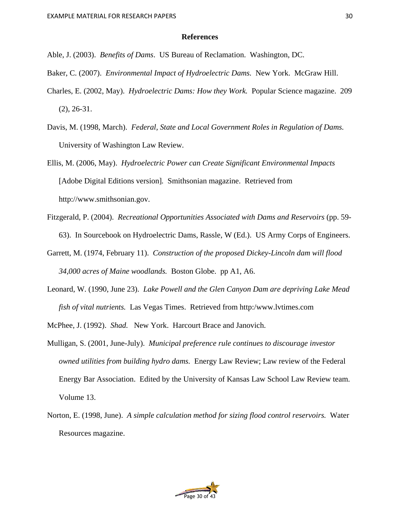### **References**

Able, J. (2003). *Benefits of Dams*. US Bureau of Reclamation. Washington, DC.

- Baker, C. (2007). *Environmental Impact of Hydroelectric Dams.* New York. McGraw Hill.
- Charles, E. (2002, May). *Hydroelectric Dams: How they Work.* Popular Science magazine. 209 (2), 26-31.
- Davis, M. (1998, March). *Federal, State and Local Government Roles in Regulation of Dams.*  University of Washington Law Review.
- Ellis, M. (2006, May). *Hydroelectric Power can Create Significant Environmental Impacts*  [Adobe Digital Editions version]*.* Smithsonian magazine. Retrieved from http://www.smithsonian.gov.
- Fitzgerald, P. (2004). *Recreational Opportunities Associated with Dams and Reservoirs* (pp. 59- 63). In Sourcebook on Hydroelectric Dams, Rassle, W (Ed.). US Army Corps of Engineers.
- Garrett, M. (1974, February 11). *Construction of the proposed Dickey-Lincoln dam will flood 34,000 acres of Maine woodlands.* Boston Globe. pp A1, A6.
- Leonard, W. (1990, June 23). *Lake Powell and the Glen Canyon Dam are depriving Lake Mead fish of vital nutrients.* Las Vegas Times. Retrieved from http:/www.lvtimes.com
- McPhee, J. (1992). *Shad.* New York. Harcourt Brace and Janovich.
- Mulligan, S. (2001, June-July). *Municipal preference rule continues to discourage investor owned utilities from building hydro dams.* Energy Law Review; Law review of the Federal Energy Bar Association. Edited by the University of Kansas Law School Law Review team. Volume 13.
- Norton, E. (1998, June). *A simple calculation method for sizing flood control reservoirs.* Water Resources magazine.

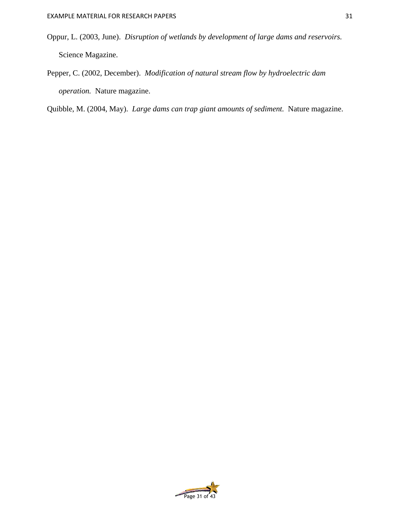- Oppur, L. (2003, June). *Disruption of wetlands by development of large dams and reservoirs.*  Science Magazine.
- Pepper, C. (2002, December). *Modification of natural stream flow by hydroelectric dam operation.* Nature magazine.

Quibble, M. (2004, May). *Large dams can trap giant amounts of sediment.* Nature magazine.

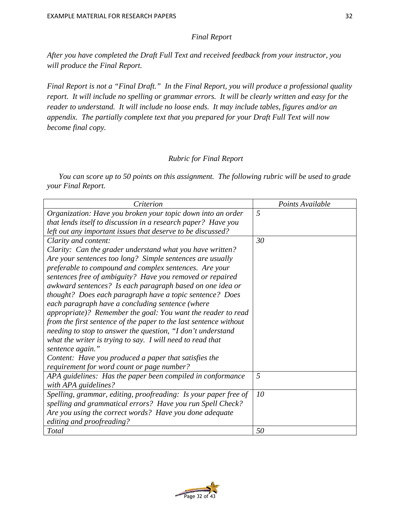## *Final Report*

*After you have completed the Draft Full Text and received feedback from your instructor, you will produce the Final Report.* 

*Final Report is not a "Final Draft." In the Final Report, you will produce a professional quality report. It will include no spelling or grammar errors. It will be clearly written and easy for the reader to understand. It will include no loose ends. It may include tables, figures and/or an appendix. The partially complete text that you prepared for your Draft Full Text will now become final copy.* 

## *Rubric for Final Report*

*You can score up to 50 points on this assignment. The following rubric will be used to grade your Final Report.* 

| Criterion                                                         | Points Available |
|-------------------------------------------------------------------|------------------|
| Organization: Have you broken your topic down into an order       | 5                |
| that lends itself to discussion in a research paper? Have you     |                  |
| left out any important issues that deserve to be discussed?       |                  |
| Clarity and content:                                              | 30               |
| Clarity: Can the grader understand what you have written?         |                  |
| Are your sentences too long? Simple sentences are usually         |                  |
| preferable to compound and complex sentences. Are your            |                  |
| sentences free of ambiguity? Have you removed or repaired         |                  |
| awkward sentences? Is each paragraph based on one idea or         |                  |
| thought? Does each paragraph have a topic sentence? Does          |                  |
| each paragraph have a concluding sentence (where                  |                  |
| appropriate)? Remember the goal: You want the reader to read      |                  |
| from the first sentence of the paper to the last sentence without |                  |
| needing to stop to answer the question, "I don't understand       |                  |
| what the writer is trying to say. I will need to read that        |                  |
| sentence again."                                                  |                  |
| Content: Have you produced a paper that satisfies the             |                  |
| requirement for word count or page number?                        |                  |
| APA guidelines: Has the paper been compiled in conformance        | 5                |
| with APA guidelines?                                              |                  |
| Spelling, grammar, editing, proofreading: Is your paper free of   | 10               |
| spelling and grammatical errors? Have you run Spell Check?        |                  |
| Are you using the correct words? Have you done adequate           |                  |
| editing and proofreading?                                         |                  |
| <b>Total</b>                                                      | 50               |

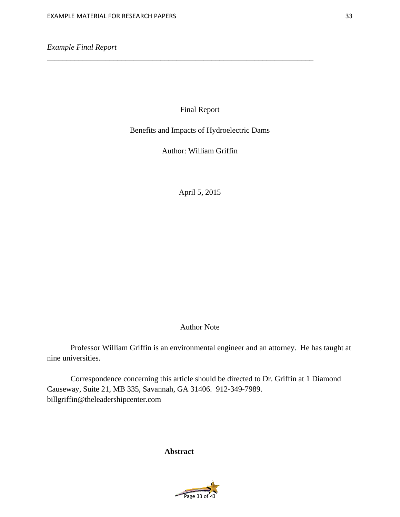*Example Final Report* 

Final Report

\_\_\_\_\_\_\_\_\_\_\_\_\_\_\_\_\_\_\_\_\_\_\_\_\_\_\_\_\_\_\_\_\_\_\_\_\_\_\_\_\_\_\_\_\_\_\_\_\_\_\_\_\_\_\_\_\_\_\_\_\_\_\_\_\_\_\_\_

Benefits and Impacts of Hydroelectric Dams

Author: William Griffin

April 5, 2015

# Author Note

Professor William Griffin is an environmental engineer and an attorney. He has taught at nine universities.

Correspondence concerning this article should be directed to Dr. Griffin at 1 Diamond Causeway, Suite 21, MB 335, Savannah, GA 31406. 912-349-7989. billgriffin@theleadershipcenter.com

**Abstract**

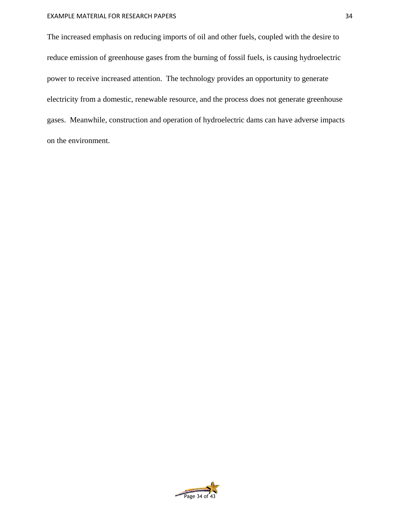## EXAMPLE MATERIAL FOR RESEARCH PAPERS

The increased emphasis on reducing imports of oil and other fuels, coupled with the desire to reduce emission of greenhouse gases from the burning of fossil fuels, is causing hydroelectric power to receive increased attention. The technology provides an opportunity to generate electricity from a domestic, renewable resource, and the process does not generate greenhouse gases. Meanwhile, construction and operation of hydroelectric dams can have adverse impacts on the environment.

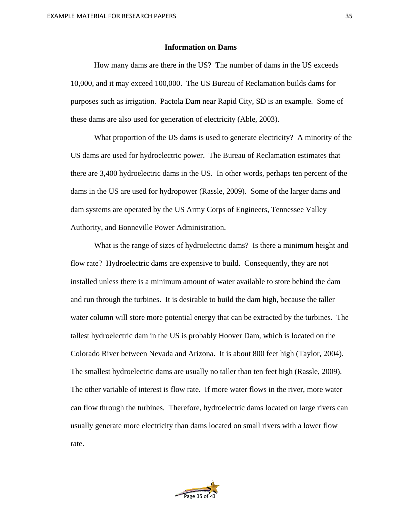## **Information on Dams**

How many dams are there in the US? The number of dams in the US exceeds 10,000, and it may exceed 100,000. The US Bureau of Reclamation builds dams for purposes such as irrigation. Pactola Dam near Rapid City, SD is an example. Some of these dams are also used for generation of electricity (Able, 2003).

What proportion of the US dams is used to generate electricity? A minority of the US dams are used for hydroelectric power. The Bureau of Reclamation estimates that there are 3,400 hydroelectric dams in the US. In other words, perhaps ten percent of the dams in the US are used for hydropower (Rassle, 2009). Some of the larger dams and dam systems are operated by the US Army Corps of Engineers, Tennessee Valley Authority, and Bonneville Power Administration.

What is the range of sizes of hydroelectric dams? Is there a minimum height and flow rate? Hydroelectric dams are expensive to build. Consequently, they are not installed unless there is a minimum amount of water available to store behind the dam and run through the turbines. It is desirable to build the dam high, because the taller water column will store more potential energy that can be extracted by the turbines. The tallest hydroelectric dam in the US is probably Hoover Dam, which is located on the Colorado River between Nevada and Arizona. It is about 800 feet high (Taylor, 2004). The smallest hydroelectric dams are usually no taller than ten feet high (Rassle, 2009). The other variable of interest is flow rate. If more water flows in the river, more water can flow through the turbines. Therefore, hydroelectric dams located on large rivers can usually generate more electricity than dams located on small rivers with a lower flow rate.

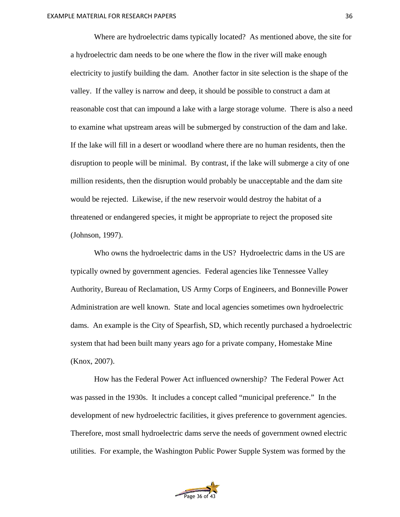Where are hydroelectric dams typically located? As mentioned above, the site for a hydroelectric dam needs to be one where the flow in the river will make enough electricity to justify building the dam. Another factor in site selection is the shape of the valley. If the valley is narrow and deep, it should be possible to construct a dam at reasonable cost that can impound a lake with a large storage volume. There is also a need to examine what upstream areas will be submerged by construction of the dam and lake. If the lake will fill in a desert or woodland where there are no human residents, then the disruption to people will be minimal. By contrast, if the lake will submerge a city of one million residents, then the disruption would probably be unacceptable and the dam site would be rejected. Likewise, if the new reservoir would destroy the habitat of a threatened or endangered species, it might be appropriate to reject the proposed site (Johnson, 1997).

Who owns the hydroelectric dams in the US? Hydroelectric dams in the US are typically owned by government agencies. Federal agencies like Tennessee Valley Authority, Bureau of Reclamation, US Army Corps of Engineers, and Bonneville Power Administration are well known. State and local agencies sometimes own hydroelectric dams. An example is the City of Spearfish, SD, which recently purchased a hydroelectric system that had been built many years ago for a private company, Homestake Mine (Knox, 2007).

How has the Federal Power Act influenced ownership? The Federal Power Act was passed in the 1930s. It includes a concept called "municipal preference." In the development of new hydroelectric facilities, it gives preference to government agencies. Therefore, most small hydroelectric dams serve the needs of government owned electric utilities. For example, the Washington Public Power Supple System was formed by the

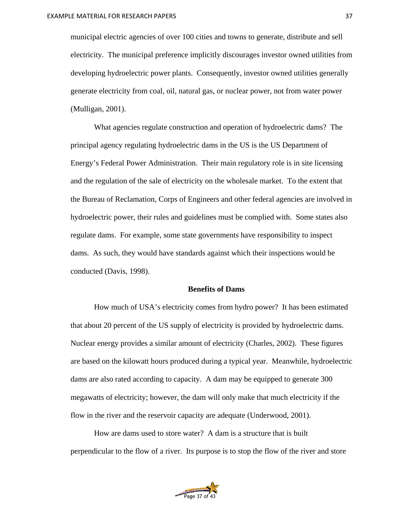municipal electric agencies of over 100 cities and towns to generate, distribute and sell electricity. The municipal preference implicitly discourages investor owned utilities from developing hydroelectric power plants. Consequently, investor owned utilities generally generate electricity from coal, oil, natural gas, or nuclear power, not from water power (Mulligan, 2001).

What agencies regulate construction and operation of hydroelectric dams? The principal agency regulating hydroelectric dams in the US is the US Department of Energy's Federal Power Administration. Their main regulatory role is in site licensing and the regulation of the sale of electricity on the wholesale market. To the extent that the Bureau of Reclamation, Corps of Engineers and other federal agencies are involved in hydroelectric power, their rules and guidelines must be complied with. Some states also regulate dams. For example, some state governments have responsibility to inspect dams. As such, they would have standards against which their inspections would be conducted (Davis, 1998).

## **Benefits of Dams**

How much of USA's electricity comes from hydro power? It has been estimated that about 20 percent of the US supply of electricity is provided by hydroelectric dams. Nuclear energy provides a similar amount of electricity (Charles, 2002). These figures are based on the kilowatt hours produced during a typical year. Meanwhile, hydroelectric dams are also rated according to capacity. A dam may be equipped to generate 300 megawatts of electricity; however, the dam will only make that much electricity if the flow in the river and the reservoir capacity are adequate (Underwood, 2001).

How are dams used to store water? A dam is a structure that is built perpendicular to the flow of a river. Its purpose is to stop the flow of the river and store

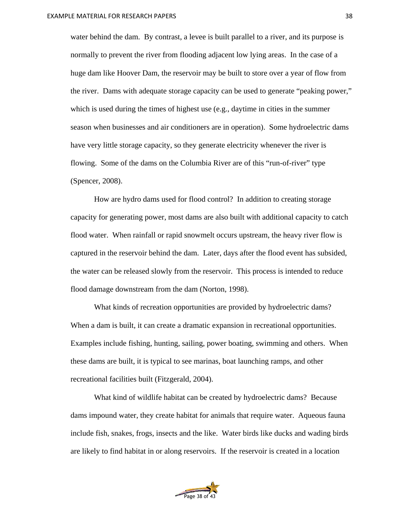water behind the dam. By contrast, a levee is built parallel to a river, and its purpose is normally to prevent the river from flooding adjacent low lying areas. In the case of a huge dam like Hoover Dam, the reservoir may be built to store over a year of flow from the river. Dams with adequate storage capacity can be used to generate "peaking power," which is used during the times of highest use (e.g., daytime in cities in the summer season when businesses and air conditioners are in operation). Some hydroelectric dams have very little storage capacity, so they generate electricity whenever the river is flowing. Some of the dams on the Columbia River are of this "run-of-river" type (Spencer, 2008).

How are hydro dams used for flood control? In addition to creating storage capacity for generating power, most dams are also built with additional capacity to catch flood water. When rainfall or rapid snowmelt occurs upstream, the heavy river flow is captured in the reservoir behind the dam. Later, days after the flood event has subsided, the water can be released slowly from the reservoir. This process is intended to reduce flood damage downstream from the dam (Norton, 1998).

What kinds of recreation opportunities are provided by hydroelectric dams? When a dam is built, it can create a dramatic expansion in recreational opportunities. Examples include fishing, hunting, sailing, power boating, swimming and others. When these dams are built, it is typical to see marinas, boat launching ramps, and other recreational facilities built (Fitzgerald, 2004).

What kind of wildlife habitat can be created by hydroelectric dams? Because dams impound water, they create habitat for animals that require water. Aqueous fauna include fish, snakes, frogs, insects and the like. Water birds like ducks and wading birds are likely to find habitat in or along reservoirs. If the reservoir is created in a location

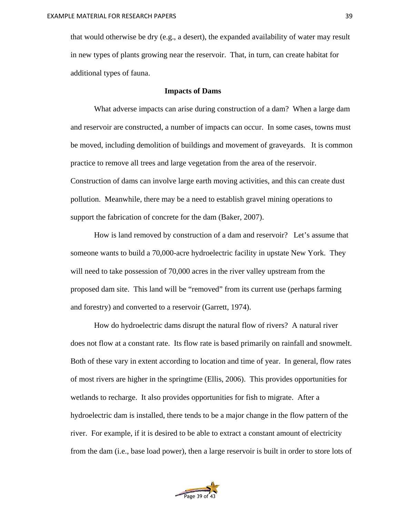that would otherwise be dry (e.g., a desert), the expanded availability of water may result in new types of plants growing near the reservoir. That, in turn, can create habitat for additional types of fauna.

## **Impacts of Dams**

What adverse impacts can arise during construction of a dam? When a large dam and reservoir are constructed, a number of impacts can occur. In some cases, towns must be moved, including demolition of buildings and movement of graveyards. It is common practice to remove all trees and large vegetation from the area of the reservoir. Construction of dams can involve large earth moving activities, and this can create dust pollution. Meanwhile, there may be a need to establish gravel mining operations to support the fabrication of concrete for the dam (Baker, 2007).

How is land removed by construction of a dam and reservoir? Let's assume that someone wants to build a 70,000-acre hydroelectric facility in upstate New York. They will need to take possession of 70,000 acres in the river valley upstream from the proposed dam site. This land will be "removed" from its current use (perhaps farming and forestry) and converted to a reservoir (Garrett, 1974).

How do hydroelectric dams disrupt the natural flow of rivers? A natural river does not flow at a constant rate. Its flow rate is based primarily on rainfall and snowmelt. Both of these vary in extent according to location and time of year. In general, flow rates of most rivers are higher in the springtime (Ellis, 2006). This provides opportunities for wetlands to recharge. It also provides opportunities for fish to migrate. After a hydroelectric dam is installed, there tends to be a major change in the flow pattern of the river. For example, if it is desired to be able to extract a constant amount of electricity from the dam (i.e., base load power), then a large reservoir is built in order to store lots of

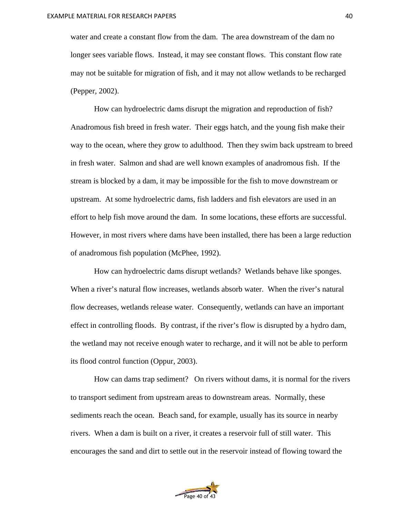water and create a constant flow from the dam. The area downstream of the dam no longer sees variable flows. Instead, it may see constant flows. This constant flow rate may not be suitable for migration of fish, and it may not allow wetlands to be recharged (Pepper, 2002).

How can hydroelectric dams disrupt the migration and reproduction of fish? Anadromous fish breed in fresh water. Their eggs hatch, and the young fish make their way to the ocean, where they grow to adulthood. Then they swim back upstream to breed in fresh water. Salmon and shad are well known examples of anadromous fish. If the stream is blocked by a dam, it may be impossible for the fish to move downstream or upstream. At some hydroelectric dams, fish ladders and fish elevators are used in an effort to help fish move around the dam. In some locations, these efforts are successful. However, in most rivers where dams have been installed, there has been a large reduction of anadromous fish population (McPhee, 1992).

How can hydroelectric dams disrupt wetlands? Wetlands behave like sponges. When a river's natural flow increases, wetlands absorb water. When the river's natural flow decreases, wetlands release water. Consequently, wetlands can have an important effect in controlling floods. By contrast, if the river's flow is disrupted by a hydro dam, the wetland may not receive enough water to recharge, and it will not be able to perform its flood control function (Oppur, 2003).

How can dams trap sediment? On rivers without dams, it is normal for the rivers to transport sediment from upstream areas to downstream areas. Normally, these sediments reach the ocean. Beach sand, for example, usually has its source in nearby rivers. When a dam is built on a river, it creates a reservoir full of still water. This encourages the sand and dirt to settle out in the reservoir instead of flowing toward the

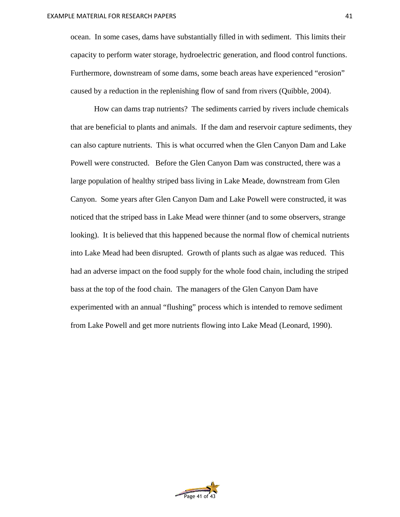ocean. In some cases, dams have substantially filled in with sediment. This limits their capacity to perform water storage, hydroelectric generation, and flood control functions. Furthermore, downstream of some dams, some beach areas have experienced "erosion" caused by a reduction in the replenishing flow of sand from rivers (Quibble, 2004).

How can dams trap nutrients? The sediments carried by rivers include chemicals that are beneficial to plants and animals. If the dam and reservoir capture sediments, they can also capture nutrients. This is what occurred when the Glen Canyon Dam and Lake Powell were constructed. Before the Glen Canyon Dam was constructed, there was a large population of healthy striped bass living in Lake Meade, downstream from Glen Canyon. Some years after Glen Canyon Dam and Lake Powell were constructed, it was noticed that the striped bass in Lake Mead were thinner (and to some observers, strange looking). It is believed that this happened because the normal flow of chemical nutrients into Lake Mead had been disrupted. Growth of plants such as algae was reduced. This had an adverse impact on the food supply for the whole food chain, including the striped bass at the top of the food chain. The managers of the Glen Canyon Dam have experimented with an annual "flushing" process which is intended to remove sediment from Lake Powell and get more nutrients flowing into Lake Mead (Leonard, 1990).

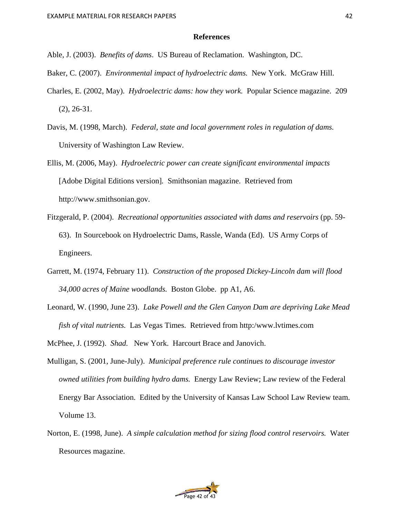## **References**

- Able, J. (2003). *Benefits of dams*. US Bureau of Reclamation. Washington, DC.
- Baker, C. (2007). *Environmental impact of hydroelectric dams.* New York. McGraw Hill.
- Charles, E. (2002, May). *Hydroelectric dams: how they work.* Popular Science magazine. 209 (2), 26-31.
- Davis, M. (1998, March). *Federal, state and local government roles in regulation of dams.*  University of Washington Law Review.
- Ellis, M. (2006, May). *Hydroelectric power can create significant environmental impacts*  [Adobe Digital Editions version]*.* Smithsonian magazine. Retrieved from http://www.smithsonian.gov.
- Fitzgerald, P. (2004). *Recreational opportunities associated with dams and reservoirs* (pp. 59- 63). In Sourcebook on Hydroelectric Dams, Rassle, Wanda (Ed).US Army Corps of Engineers.
- Garrett, M. (1974, February 11). *Construction of the proposed Dickey-Lincoln dam will flood 34,000 acres of Maine woodlands.* Boston Globe. pp A1, A6.
- Leonard, W. (1990, June 23). *Lake Powell and the Glen Canyon Dam are depriving Lake Mead fish of vital nutrients.* Las Vegas Times. Retrieved from http:/www.lvtimes.com

McPhee, J. (1992). *Shad.* New York. Harcourt Brace and Janovich.

- Mulligan, S. (2001, June-July). *Municipal preference rule continues to discourage investor owned utilities from building hydro dams.* Energy Law Review; Law review of the Federal Energy Bar Association. Edited by the University of Kansas Law School Law Review team. Volume 13.
- Norton, E. (1998, June). *A simple calculation method for sizing flood control reservoirs.* Water Resources magazine.